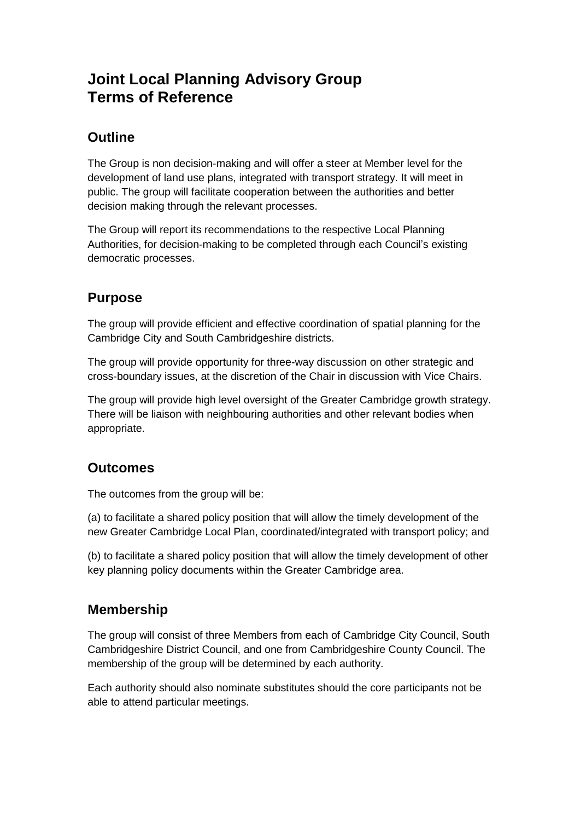# **Joint Local Planning Advisory Group Terms of Reference**

### **Outline**

The Group is non decision-making and will offer a steer at Member level for the development of land use plans, integrated with transport strategy. It will meet in public. The group will facilitate cooperation between the authorities and better decision making through the relevant processes.

The Group will report its recommendations to the respective Local Planning Authorities, for decision-making to be completed through each Council's existing democratic processes.

#### **Purpose**

The group will provide efficient and effective coordination of spatial planning for the Cambridge City and South Cambridgeshire districts.

The group will provide opportunity for three-way discussion on other strategic and cross-boundary issues, at the discretion of the Chair in discussion with Vice Chairs.

The group will provide high level oversight of the Greater Cambridge growth strategy. There will be liaison with neighbouring authorities and other relevant bodies when appropriate.

### **Outcomes**

The outcomes from the group will be:

(a) to facilitate a shared policy position that will allow the timely development of the new Greater Cambridge Local Plan, coordinated/integrated with transport policy; and

(b) to facilitate a shared policy position that will allow the timely development of other key planning policy documents within the Greater Cambridge area.

### **Membership**

The group will consist of three Members from each of Cambridge City Council, South Cambridgeshire District Council, and one from Cambridgeshire County Council. The membership of the group will be determined by each authority.

Each authority should also nominate substitutes should the core participants not be able to attend particular meetings.